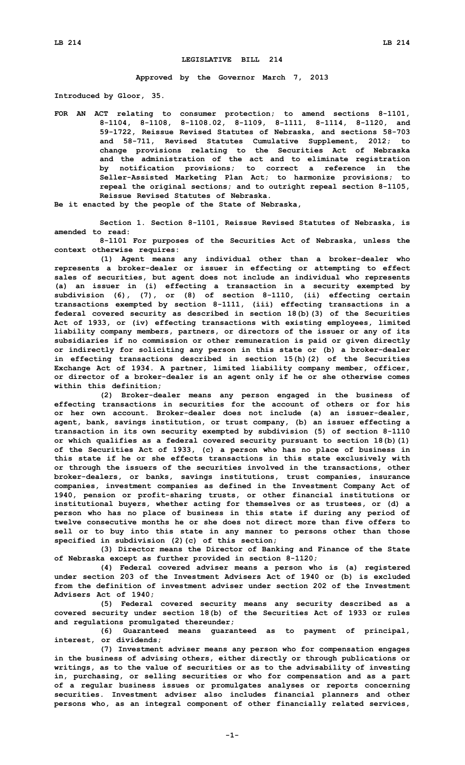## **LEGISLATIVE BILL 214**

**Approved by the Governor March 7, 2013**

**Introduced by Gloor, 35.**

**FOR AN ACT relating to consumer protection; to amend sections 8-1101, 8-1104, 8-1108, 8-1108.02, 8-1109, 8-1111, 8-1114, 8-1120, and 59-1722, Reissue Revised Statutes of Nebraska, and sections 58-703 and 58-711, Revised Statutes Cumulative Supplement, 2012; to change provisions relating to the Securities Act of Nebraska and the administration of the act and to eliminate registration by notification provisions; to correct <sup>a</sup> reference in the Seller-Assisted Marketing Plan Act; to harmonize provisions; to repeal the original sections; and to outright repeal section 8-1105, Reissue Revised Statutes of Nebraska.**

**Be it enacted by the people of the State of Nebraska,**

**Section 1. Section 8-1101, Reissue Revised Statutes of Nebraska, is amended to read:**

**8-1101 For purposes of the Securities Act of Nebraska, unless the context otherwise requires:**

**(1) Agent means any individual other than <sup>a</sup> broker-dealer who represents <sup>a</sup> broker-dealer or issuer in effecting or attempting to effect sales of securities, but agent does not include an individual who represents (a) an issuer in (i) effecting <sup>a</sup> transaction in <sup>a</sup> security exempted by subdivision (6), (7), or (8) of section 8-1110, (ii) effecting certain transactions exempted by section 8-1111, (iii) effecting transactions in <sup>a</sup> federal covered security as described in section 18(b)(3) of the Securities Act of 1933, or (iv) effecting transactions with existing employees, limited liability company members, partners, or directors of the issuer or any of its subsidiaries if no commission or other remuneration is paid or given directly or indirectly for soliciting any person in this state or (b) <sup>a</sup> broker-dealer in effecting transactions described in section 15(h)(2) of the Securities Exchange Act of 1934. <sup>A</sup> partner, limited liability company member, officer, or director of <sup>a</sup> broker-dealer is an agent only if he or she otherwise comes within this definition;**

**(2) Broker-dealer means any person engaged in the business of effecting transactions in securities for the account of others or for his or her own account. Broker-dealer does not include (a) an issuer-dealer, agent, bank, savings institution, or trust company, (b) an issuer effecting <sup>a</sup> transaction in its own security exempted by subdivision (5) of section 8-1110 or which qualifies as <sup>a</sup> federal covered security pursuant to section 18(b)(1) of the Securities Act of 1933, (c) <sup>a</sup> person who has no place of business in this state if he or she effects transactions in this state exclusively with or through the issuers of the securities involved in the transactions, other broker-dealers, or banks, savings institutions, trust companies, insurance companies, investment companies as defined in the Investment Company Act of 1940, pension or profit-sharing trusts, or other financial institutions or institutional buyers, whether acting for themselves or as trustees, or (d) <sup>a</sup> person who has no place of business in this state if during any period of twelve consecutive months he or she does not direct more than five offers to sell or to buy into this state in any manner to persons other than those specified in subdivision (2)(c) of this section;**

**(3) Director means the Director of Banking and Finance of the State of Nebraska except as further provided in section 8-1120;**

**(4) Federal covered adviser means <sup>a</sup> person who is (a) registered under section 203 of the Investment Advisers Act of 1940 or (b) is excluded from the definition of investment adviser under section 202 of the Investment Advisers Act of 1940;**

**(5) Federal covered security means any security described as <sup>a</sup> covered security under section 18(b) of the Securities Act of 1933 or rules and regulations promulgated thereunder;**

**(6) Guaranteed means guaranteed as to payment of principal, interest, or dividends;**

**(7) Investment adviser means any person who for compensation engages in the business of advising others, either directly or through publications or writings, as to the value of securities or as to the advisability of investing in, purchasing, or selling securities or who for compensation and as <sup>a</sup> part of <sup>a</sup> regular business issues or promulgates analyses or reports concerning securities. Investment adviser also includes financial planners and other persons who, as an integral component of other financially related services,**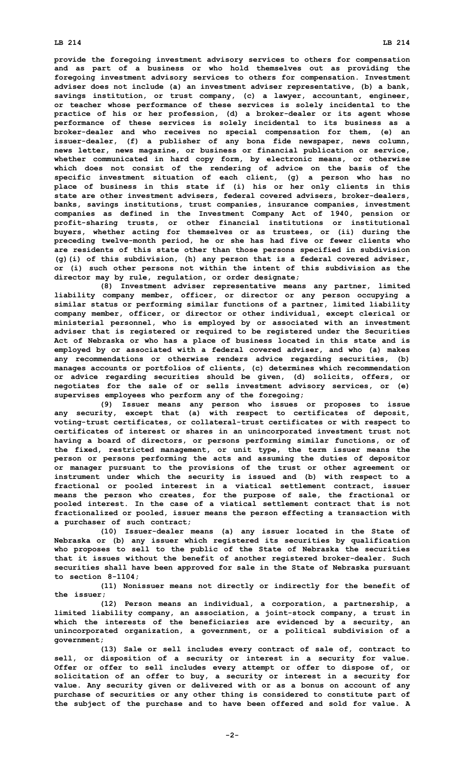## **LB 214 LB 214**

**provide the foregoing investment advisory services to others for compensation and as part of <sup>a</sup> business or who hold themselves out as providing the foregoing investment advisory services to others for compensation. Investment adviser does not include (a) an investment adviser representative, (b) <sup>a</sup> bank, savings institution, or trust company, (c) <sup>a</sup> lawyer, accountant, engineer, or teacher whose performance of these services is solely incidental to the practice of his or her profession, (d) <sup>a</sup> broker-dealer or its agent whose performance of these services is solely incidental to its business as <sup>a</sup> broker-dealer and who receives no special compensation for them, (e) an issuer-dealer, (f) <sup>a</sup> publisher of any bona fide newspaper, news column, news letter, news magazine, or business or financial publication or service, whether communicated in hard copy form, by electronic means, or otherwise which does not consist of the rendering of advice on the basis of the specific investment situation of each client, (g) <sup>a</sup> person who has no place of business in this state if (i) his or her only clients in this state are other investment advisers, federal covered advisers, broker-dealers, banks, savings institutions, trust companies, insurance companies, investment companies as defined in the Investment Company Act of 1940, pension or profit-sharing trusts, or other financial institutions or institutional buyers, whether acting for themselves or as trustees, or (ii) during the preceding twelve-month period, he or she has had five or fewer clients who are residents of this state other than those persons specified in subdivision (g)(i) of this subdivision, (h) any person that is <sup>a</sup> federal covered adviser, or (i) such other persons not within the intent of this subdivision as the director may by rule, regulation, or order designate;**

**(8) Investment adviser representative means any partner, limited liability company member, officer, or director or any person occupying <sup>a</sup> similar status or performing similar functions of <sup>a</sup> partner, limited liability company member, officer, or director or other individual, except clerical or ministerial personnel, who is employed by or associated with an investment adviser that is registered or required to be registered under the Securities Act of Nebraska or who has <sup>a</sup> place of business located in this state and is employed by or associated with <sup>a</sup> federal covered adviser, and who (a) makes any recommendations or otherwise renders advice regarding securities, (b) manages accounts or portfolios of clients, (c) determines which recommendation or advice regarding securities should be given, (d) solicits, offers, or negotiates for the sale of or sells investment advisory services, or (e) supervises employees who perform any of the foregoing;**

**(9) Issuer means any person who issues or proposes to issue any security, except that (a) with respect to certificates of deposit, voting-trust certificates, or collateral-trust certificates or with respect to certificates of interest or shares in an unincorporated investment trust not having <sup>a</sup> board of directors, or persons performing similar functions, or of the fixed, restricted management, or unit type, the term issuer means the person or persons performing the acts and assuming the duties of depositor or manager pursuant to the provisions of the trust or other agreement or instrument under which the security is issued and (b) with respect to <sup>a</sup> fractional or pooled interest in <sup>a</sup> viatical settlement contract, issuer means the person who creates, for the purpose of sale, the fractional or pooled interest. In the case of <sup>a</sup> viatical settlement contract that is not fractionalized or pooled, issuer means the person effecting <sup>a</sup> transaction with <sup>a</sup> purchaser of such contract;**

**(10) Issuer-dealer means (a) any issuer located in the State of Nebraska or (b) any issuer which registered its securities by qualification who proposes to sell to the public of the State of Nebraska the securities that it issues without the benefit of another registered broker-dealer. Such securities shall have been approved for sale in the State of Nebraska pursuant to section 8-1104;**

**(11) Nonissuer means not directly or indirectly for the benefit of the issuer;**

**(12) Person means an individual, <sup>a</sup> corporation, <sup>a</sup> partnership, <sup>a</sup> limited liability company, an association, <sup>a</sup> joint-stock company, <sup>a</sup> trust in which the interests of the beneficiaries are evidenced by <sup>a</sup> security, an unincorporated organization, <sup>a</sup> government, or <sup>a</sup> political subdivision of <sup>a</sup> government;**

**(13) Sale or sell includes every contract of sale of, contract to sell, or disposition of <sup>a</sup> security or interest in <sup>a</sup> security for value. Offer or offer to sell includes every attempt or offer to dispose of, or solicitation of an offer to buy, <sup>a</sup> security or interest in <sup>a</sup> security for value. Any security given or delivered with or as <sup>a</sup> bonus on account of any purchase of securities or any other thing is considered to constitute part of the subject of the purchase and to have been offered and sold for value. A**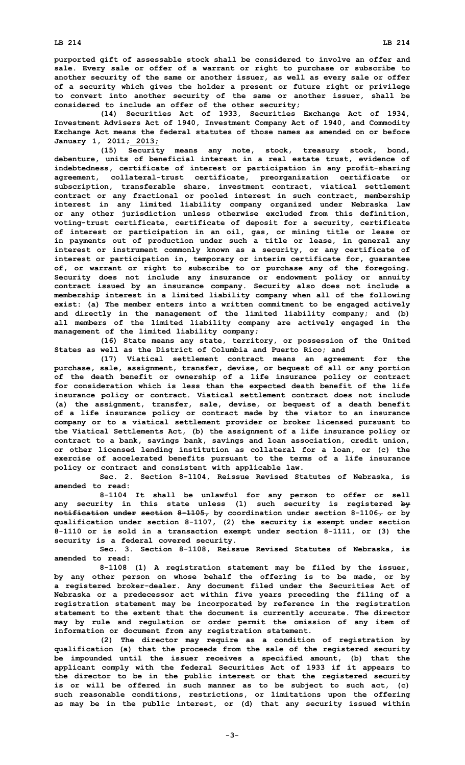**purported gift of assessable stock shall be considered to involve an offer and sale. Every sale or offer of <sup>a</sup> warrant or right to purchase or subscribe to another security of the same or another issuer, as well as every sale or offer of <sup>a</sup> security which gives the holder <sup>a</sup> present or future right or privilege to convert into another security of the same or another issuer, shall be considered to include an offer of the other security;**

**(14) Securities Act of 1933, Securities Exchange Act of 1934, Investment Advisers Act of 1940, Investment Company Act of 1940, and Commodity Exchange Act means the federal statutes of those names as amended on or before January 1, 2011; 2013;**

**(15) Security means any note, stock, treasury stock, bond, debenture, units of beneficial interest in <sup>a</sup> real estate trust, evidence of indebtedness, certificate of interest or participation in any profit-sharing agreement, collateral-trust certificate, preorganization certificate or subscription, transferable share, investment contract, viatical settlement contract or any fractional or pooled interest in such contract, membership interest in any limited liability company organized under Nebraska law or any other jurisdiction unless otherwise excluded from this definition, voting-trust certificate, certificate of deposit for <sup>a</sup> security, certificate of interest or participation in an oil, gas, or mining title or lease or in payments out of production under such <sup>a</sup> title or lease, in general any interest or instrument commonly known as <sup>a</sup> security, or any certificate of interest or participation in, temporary or interim certificate for, guarantee of, or warrant or right to subscribe to or purchase any of the foregoing. Security does not include any insurance or endowment policy or annuity contract issued by an insurance company. Security also does not include <sup>a</sup> membership interest in <sup>a</sup> limited liability company when all of the following exist: (a) The member enters into <sup>a</sup> written commitment to be engaged actively and directly in the management of the limited liability company; and (b) all members of the limited liability company are actively engaged in the management of the limited liability company;**

**(16) State means any state, territory, or possession of the United States as well as the District of Columbia and Puerto Rico; and**

**(17) Viatical settlement contract means an agreement for the purchase, sale, assignment, transfer, devise, or bequest of all or any portion of the death benefit or ownership of <sup>a</sup> life insurance policy or contract for consideration which is less than the expected death benefit of the life insurance policy or contract. Viatical settlement contract does not include (a) the assignment, transfer, sale, devise, or bequest of <sup>a</sup> death benefit of <sup>a</sup> life insurance policy or contract made by the viator to an insurance company or to <sup>a</sup> viatical settlement provider or broker licensed pursuant to the Viatical Settlements Act, (b) the assignment of <sup>a</sup> life insurance policy or contract to <sup>a</sup> bank, savings bank, savings and loan association, credit union, or other licensed lending institution as collateral for <sup>a</sup> loan, or (c) the exercise of accelerated benefits pursuant to the terms of <sup>a</sup> life insurance policy or contract and consistent with applicable law.**

**Sec. 2. Section 8-1104, Reissue Revised Statutes of Nebraska, is amended to read:**

**8-1104 It shall be unlawful for any person to offer or sell any security in this state unless (1) such security is registered by notification under section 8-1105, by coordination under section 8-1106, or by qualification under section 8-1107, (2) the security is exempt under section 8-1110 or is sold in <sup>a</sup> transaction exempt under section 8-1111, or (3) the security is <sup>a</sup> federal covered security.**

**Sec. 3. Section 8-1108, Reissue Revised Statutes of Nebraska, is amended to read:**

**8-1108 (1) <sup>A</sup> registration statement may be filed by the issuer, by any other person on whose behalf the offering is to be made, or by <sup>a</sup> registered broker-dealer. Any document filed under the Securities Act of Nebraska or <sup>a</sup> predecessor act within five years preceding the filing of <sup>a</sup> registration statement may be incorporated by reference in the registration statement to the extent that the document is currently accurate. The director may by rule and regulation or order permit the omission of any item of information or document from any registration statement.**

**(2) The director may require as <sup>a</sup> condition of registration by qualification (a) that the proceeds from the sale of the registered security be impounded until the issuer receives <sup>a</sup> specified amount, (b) that the applicant comply with the federal Securities Act of 1933 if it appears to the director to be in the public interest or that the registered security is or will be offered in such manner as to be subject to such act, (c) such reasonable conditions, restrictions, or limitations upon the offering as may be in the public interest, or (d) that any security issued within**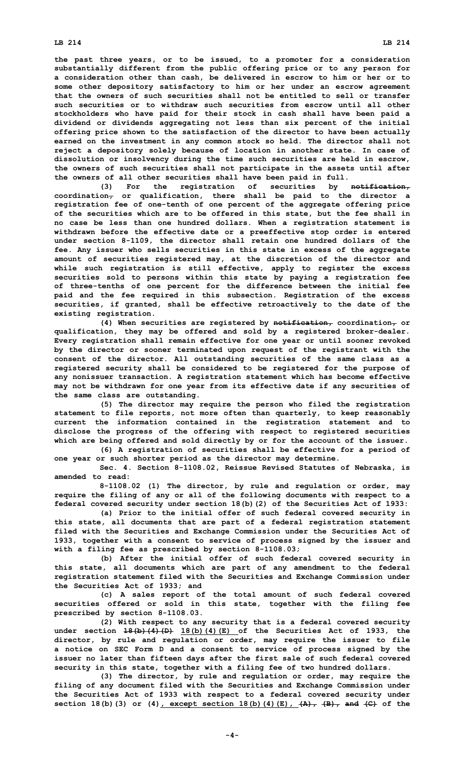**the past three years, or to be issued, to <sup>a</sup> promoter for <sup>a</sup> consideration substantially different from the public offering price or to any person for <sup>a</sup> consideration other than cash, be delivered in escrow to him or her or to some other depository satisfactory to him or her under an escrow agreement that the owners of such securities shall not be entitled to sell or transfer such securities or to withdraw such securities from escrow until all other stockholders who have paid for their stock in cash shall have been paid <sup>a</sup> dividend or dividends aggregating not less than six percent of the initial offering price shown to the satisfaction of the director to have been actually earned on the investment in any common stock so held. The director shall not reject <sup>a</sup> depository solely because of location in another state. In case of dissolution or insolvency during the time such securities are held in escrow, the owners of such securities shall not participate in the assets until after the owners of all other securities shall have been paid in full.**

**(3) For the registration of securities by notification, coordination, or qualification, there shall be paid to the director <sup>a</sup> registration fee of one-tenth of one percent of the aggregate offering price of the securities which are to be offered in this state, but the fee shall in no case be less than one hundred dollars. When <sup>a</sup> registration statement is withdrawn before the effective date or <sup>a</sup> preeffective stop order is entered under section 8-1109, the director shall retain one hundred dollars of the fee. Any issuer who sells securities in this state in excess of the aggregate amount of securities registered may, at the discretion of the director and while such registration is still effective, apply to register the excess securities sold to persons within this state by paying <sup>a</sup> registration fee of three-tenths of one percent for the difference between the initial fee paid and the fee required in this subsection. Registration of the excess securities, if granted, shall be effective retroactively to the date of the existing registration.**

**(4) When securities are registered by notification, coordination, or qualification, they may be offered and sold by <sup>a</sup> registered broker-dealer. Every registration shall remain effective for one year or until sooner revoked by the director or sooner terminated upon request of the registrant with the consent of the director. All outstanding securities of the same class as <sup>a</sup> registered security shall be considered to be registered for the purpose of any nonissuer transaction. A registration statement which has become effective may not be withdrawn for one year from its effective date if any securities of the same class are outstanding.**

**(5) The director may require the person who filed the registration statement to file reports, not more often than quarterly, to keep reasonably current the information contained in the registration statement and to disclose the progress of the offering with respect to registered securities which are being offered and sold directly by or for the account of the issuer.**

**(6) <sup>A</sup> registration of securities shall be effective for <sup>a</sup> period of one year or such shorter period as the director may determine.**

**Sec. 4. Section 8-1108.02, Reissue Revised Statutes of Nebraska, is amended to read:**

**8-1108.02 (1) The director, by rule and regulation or order, may require the filing of any or all of the following documents with respect to <sup>a</sup> federal covered security under section 18(b)(2) of the Securities Act of 1933:**

**(a) Prior to the initial offer of such federal covered security in this state, all documents that are part of <sup>a</sup> federal registration statement filed with the Securities and Exchange Commission under the Securities Act of 1933, together with <sup>a</sup> consent to service of process signed by the issuer and with <sup>a</sup> filing fee as prescribed by section 8-1108.03;**

**(b) After the initial offer of such federal covered security in this state, all documents which are part of any amendment to the federal registration statement filed with the Securities and Exchange Commission under the Securities Act of 1933; and**

**(c) <sup>A</sup> sales report of the total amount of such federal covered securities offered or sold in this state, together with the filing fee prescribed by section 8-1108.03.**

**(2) With respect to any security that is <sup>a</sup> federal covered security under section 18(b)(4)(D) 18(b)(4)(E) of the Securities Act of 1933, the director, by rule and regulation or order, may require the issuer to file <sup>a</sup> notice on SEC Form D and <sup>a</sup> consent to service of process signed by the issuer no later than fifteen days after the first sale of such federal covered security in this state, together with <sup>a</sup> filing fee of two hundred dollars.**

**(3) The director, by rule and regulation or order, may require the filing of any document filed with the Securities and Exchange Commission under the Securities Act of 1933 with respect to <sup>a</sup> federal covered security under section 18(b)(3) or (4), except section 18(b)(4)(E), (A), (B), and (C) of the**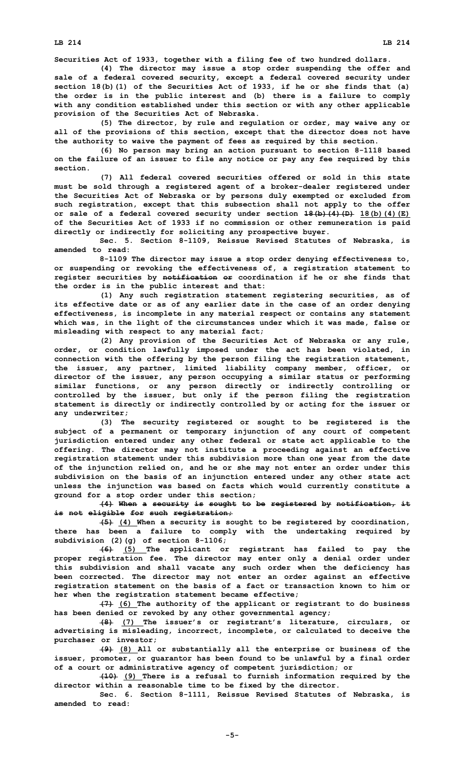**LB 214 LB 214**

**Securities Act of 1933, together with <sup>a</sup> filing fee of two hundred dollars.**

**(4) The director may issue <sup>a</sup> stop order suspending the offer and sale of <sup>a</sup> federal covered security, except <sup>a</sup> federal covered security under section 18(b)(1) of the Securities Act of 1933, if he or she finds that (a) the order is in the public interest and (b) there is <sup>a</sup> failure to comply with any condition established under this section or with any other applicable provision of the Securities Act of Nebraska.**

**(5) The director, by rule and regulation or order, may waive any or all of the provisions of this section, except that the director does not have the authority to waive the payment of fees as required by this section.**

**(6) No person may bring an action pursuant to section 8-1118 based on the failure of an issuer to file any notice or pay any fee required by this section.**

**(7) All federal covered securities offered or sold in this state must be sold through <sup>a</sup> registered agent of <sup>a</sup> broker-dealer registered under the Securities Act of Nebraska or by persons duly exempted or excluded from such registration, except that this subsection shall not apply to the offer or sale of <sup>a</sup> federal covered security under section 18(b)(4)(D) 18(b)(4)(E) of the Securities Act of 1933 if no commission or other remuneration is paid directly or indirectly for soliciting any prospective buyer.**

**Sec. 5. Section 8-1109, Reissue Revised Statutes of Nebraska, is amended to read:**

**8-1109 The director may issue <sup>a</sup> stop order denying effectiveness to, or suspending or revoking the effectiveness of, <sup>a</sup> registration statement to register securities by notification or coordination if he or she finds that the order is in the public interest and that:**

**(1) Any such registration statement registering securities, as of its effective date or as of any earlier date in the case of an order denying effectiveness, is incomplete in any material respect or contains any statement which was, in the light of the circumstances under which it was made, false or misleading with respect to any material fact;**

**(2) Any provision of the Securities Act of Nebraska or any rule, order, or condition lawfully imposed under the act has been violated, in connection with the offering by the person filing the registration statement, the issuer, any partner, limited liability company member, officer, or director of the issuer, any person occupying <sup>a</sup> similar status or performing similar functions, or any person directly or indirectly controlling or controlled by the issuer, but only if the person filing the registration statement is directly or indirectly controlled by or acting for the issuer or any underwriter;**

**(3) The security registered or sought to be registered is the subject of <sup>a</sup> permanent or temporary injunction of any court of competent jurisdiction entered under any other federal or state act applicable to the offering. The director may not institute <sup>a</sup> proceeding against an effective registration statement under this subdivision more than one year from the date of the injunction relied on, and he or she may not enter an order under this subdivision on the basis of an injunction entered under any other state act unless the injunction was based on facts which would currently constitute <sup>a</sup> ground for <sup>a</sup> stop order under this section;**

**(4) When <sup>a</sup> security is sought to be registered by notification, it is not eligible for such registration;**

**(5) (4) When <sup>a</sup> security is sought to be registered by coordination, there has been <sup>a</sup> failure to comply with the undertaking required by subdivision (2)(g) of section 8-1106;**

**(6) (5) The applicant or registrant has failed to pay the proper registration fee. The director may enter only <sup>a</sup> denial order under this subdivision and shall vacate any such order when the deficiency has been corrected. The director may not enter an order against an effective registration statement on the basis of <sup>a</sup> fact or transaction known to him or her when the registration statement became effective;**

**(7) (6) The authority of the applicant or registrant to do business has been denied or revoked by any other governmental agency;**

**(8) (7) The issuer's or registrant's literature, circulars, or advertising is misleading, incorrect, incomplete, or calculated to deceive the purchaser or investor;**

**(9) (8) All or substantially all the enterprise or business of the issuer, promoter, or guarantor has been found to be unlawful by <sup>a</sup> final order of <sup>a</sup> court or administrative agency of competent jurisdiction; or**

**(10) (9) There is <sup>a</sup> refusal to furnish information required by the director within <sup>a</sup> reasonable time to be fixed by the director.**

**Sec. 6. Section 8-1111, Reissue Revised Statutes of Nebraska, is amended to read:**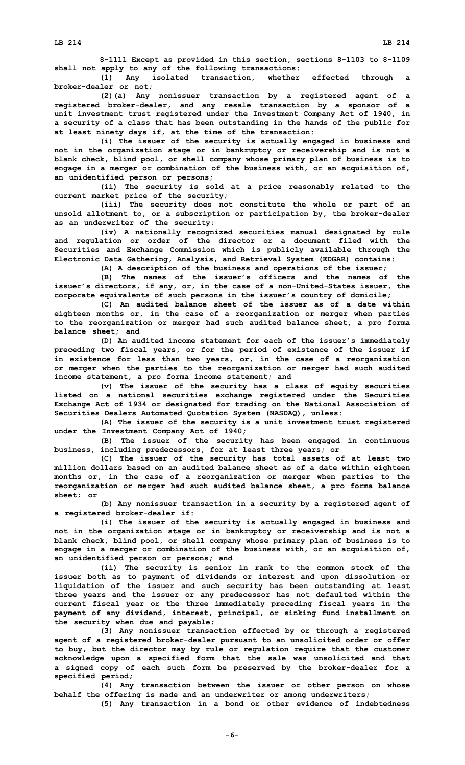**8-1111 Except as provided in this section, sections 8-1103 to 8-1109 shall not apply to any of the following transactions:**

**(1) Any isolated transaction, whether effected through <sup>a</sup> broker-dealer or not;**

**(2)(a) Any nonissuer transaction by <sup>a</sup> registered agent of <sup>a</sup> registered broker-dealer, and any resale transaction by <sup>a</sup> sponsor of <sup>a</sup> unit investment trust registered under the Investment Company Act of 1940, in <sup>a</sup> security of <sup>a</sup> class that has been outstanding in the hands of the public for at least ninety days if, at the time of the transaction:**

**(i) The issuer of the security is actually engaged in business and not in the organization stage or in bankruptcy or receivership and is not <sup>a</sup> blank check, blind pool, or shell company whose primary plan of business is to engage in <sup>a</sup> merger or combination of the business with, or an acquisition of, an unidentified person or persons;**

**(ii) The security is sold at <sup>a</sup> price reasonably related to the current market price of the security;**

**(iii) The security does not constitute the whole or part of an unsold allotment to, or <sup>a</sup> subscription or participation by, the broker-dealer as an underwriter of the security;**

**(iv) <sup>A</sup> nationally recognized securities manual designated by rule and regulation or order of the director or <sup>a</sup> document filed with the Securities and Exchange Commission which is publicly available through the Electronic Data Gathering, Analysis, and Retrieval System (EDGAR) contains:**

**(A) <sup>A</sup> description of the business and operations of the issuer; (B) The names of the issuer's officers and the names of the issuer's directors, if any, or, in the case of <sup>a</sup> non-United-States issuer, the**

**corporate equivalents of such persons in the issuer's country of domicile;**

**(C) An audited balance sheet of the issuer as of <sup>a</sup> date within eighteen months or, in the case of <sup>a</sup> reorganization or merger when parties to the reorganization or merger had such audited balance sheet, <sup>a</sup> pro forma balance sheet; and**

**(D) An audited income statement for each of the issuer's immediately preceding two fiscal years, or for the period of existence of the issuer if in existence for less than two years, or, in the case of <sup>a</sup> reorganization or merger when the parties to the reorganization or merger had such audited income statement, <sup>a</sup> pro forma income statement; and**

**(v) The issuer of the security has <sup>a</sup> class of equity securities listed on <sup>a</sup> national securities exchange registered under the Securities Exchange Act of 1934 or designated for trading on the National Association of Securities Dealers Automated Quotation System (NASDAQ), unless:**

**(A) The issuer of the security is <sup>a</sup> unit investment trust registered under the Investment Company Act of 1940;**

**(B) The issuer of the security has been engaged in continuous business, including predecessors, for at least three years; or**

**(C) The issuer of the security has total assets of at least two million dollars based on an audited balance sheet as of <sup>a</sup> date within eighteen months or, in the case of <sup>a</sup> reorganization or merger when parties to the reorganization or merger had such audited balance sheet, <sup>a</sup> pro forma balance sheet; or**

**(b) Any nonissuer transaction in <sup>a</sup> security by <sup>a</sup> registered agent of <sup>a</sup> registered broker-dealer if:**

**(i) The issuer of the security is actually engaged in business and not in the organization stage or in bankruptcy or receivership and is not <sup>a</sup> blank check, blind pool, or shell company whose primary plan of business is to engage in <sup>a</sup> merger or combination of the business with, or an acquisition of, an unidentified person or persons; and**

**(ii) The security is senior in rank to the common stock of the issuer both as to payment of dividends or interest and upon dissolution or liquidation of the issuer and such security has been outstanding at least three years and the issuer or any predecessor has not defaulted within the current fiscal year or the three immediately preceding fiscal years in the payment of any dividend, interest, principal, or sinking fund installment on the security when due and payable;**

**(3) Any nonissuer transaction effected by or through <sup>a</sup> registered agent of <sup>a</sup> registered broker-dealer pursuant to an unsolicited order or offer to buy, but the director may by rule or regulation require that the customer acknowledge upon <sup>a</sup> specified form that the sale was unsolicited and that <sup>a</sup> signed copy of each such form be preserved by the broker-dealer for <sup>a</sup> specified period;**

**(4) Any transaction between the issuer or other person on whose behalf the offering is made and an underwriter or among underwriters;**

**(5) Any transaction in <sup>a</sup> bond or other evidence of indebtedness**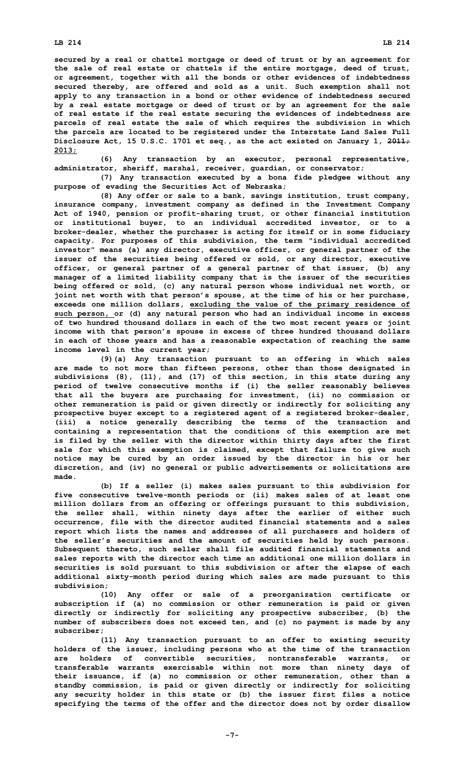## **LB 214 LB 214**

**Disclosure Act, 15 U.S.C. 1701 et seq., as the act existed on January 1, 2011; 2013;**

**(6) Any transaction by an executor, personal representative, administrator, sheriff, marshal, receiver, guardian, or conservator;**

**(7) Any transaction executed by <sup>a</sup> bona fide pledgee without any purpose of evading the Securities Act of Nebraska;**

**(8) Any offer or sale to <sup>a</sup> bank, savings institution, trust company, insurance company, investment company as defined in the Investment Company Act of 1940, pension or profit-sharing trust, or other financial institution or institutional buyer, to an individual accredited investor, or to <sup>a</sup> broker-dealer, whether the purchaser is acting for itself or in some fiduciary capacity. For purposes of this subdivision, the term "individual accredited investor" means (a) any director, executive officer, or general partner of the issuer of the securities being offered or sold, or any director, executive officer, or general partner of <sup>a</sup> general partner of that issuer, (b) any manager of <sup>a</sup> limited liability company that is the issuer of the securities being offered or sold, (c) any natural person whose individual net worth, or joint net worth with that person's spouse, at the time of his or her purchase, exceeds one million dollars, excluding the value of the primary residence of such person, or (d) any natural person who had an individual income in excess of two hundred thousand dollars in each of the two most recent years or joint income with that person's spouse in excess of three hundred thousand dollars in each of those years and has <sup>a</sup> reasonable expectation of reaching the same income level in the current year;**

**(9)(a) Any transaction pursuant to an offering in which sales are made to not more than fifteen persons, other than those designated in subdivisions (8), (11), and (17) of this section, in this state during any period of twelve consecutive months if (i) the seller reasonably believes that all the buyers are purchasing for investment, (ii) no commission or other remuneration is paid or given directly or indirectly for soliciting any prospective buyer except to <sup>a</sup> registered agent of <sup>a</sup> registered broker-dealer, (iii) <sup>a</sup> notice generally describing the terms of the transaction and containing <sup>a</sup> representation that the conditions of this exemption are met is filed by the seller with the director within thirty days after the first sale for which this exemption is claimed, except that failure to give such notice may be cured by an order issued by the director in his or her discretion, and (iv) no general or public advertisements or solicitations are made.**

**(b) If <sup>a</sup> seller (i) makes sales pursuant to this subdivision for five consecutive twelve-month periods or (ii) makes sales of at least one million dollars from an offering or offerings pursuant to this subdivision, the seller shall, within ninety days after the earlier of either such occurrence, file with the director audited financial statements and <sup>a</sup> sales report which lists the names and addresses of all purchasers and holders of the seller's securities and the amount of securities held by such persons. Subsequent thereto, such seller shall file audited financial statements and sales reports with the director each time an additional one million dollars in securities is sold pursuant to this subdivision or after the elapse of each additional sixty-month period during which sales are made pursuant to this subdivision;**

**(10) Any offer or sale of <sup>a</sup> preorganization certificate or subscription if (a) no commission or other remuneration is paid or given directly or indirectly for soliciting any prospective subscriber, (b) the number of subscribers does not exceed ten, and (c) no payment is made by any subscriber;**

**(11) Any transaction pursuant to an offer to existing security holders of the issuer, including persons who at the time of the transaction are holders of convertible securities, nontransferable warrants, or transferable warrants exercisable within not more than ninety days of their issuance, if (a) no commission or other remuneration, other than <sup>a</sup> standby commission, is paid or given directly or indirectly for soliciting any security holder in this state or (b) the issuer first files <sup>a</sup> notice specifying the terms of the offer and the director does not by order disallow**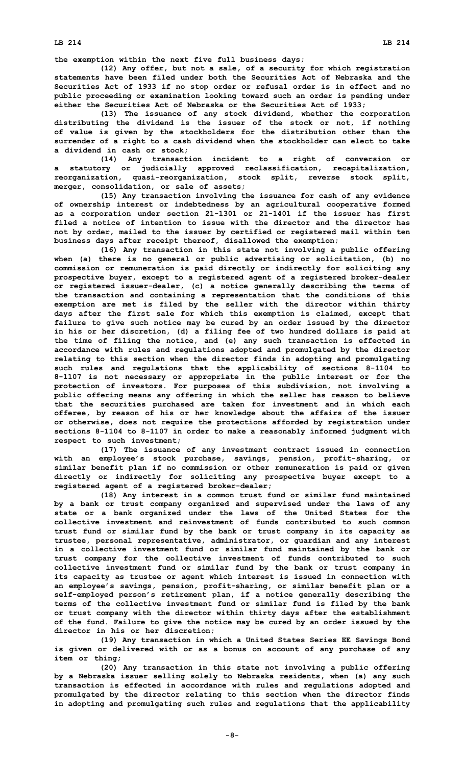**the exemption within the next five full business days;**

**(12) Any offer, but not <sup>a</sup> sale, of <sup>a</sup> security for which registration statements have been filed under both the Securities Act of Nebraska and the Securities Act of 1933 if no stop order or refusal order is in effect and no public proceeding or examination looking toward such an order is pending under either the Securities Act of Nebraska or the Securities Act of 1933;**

**(13) The issuance of any stock dividend, whether the corporation distributing the dividend is the issuer of the stock or not, if nothing of value is given by the stockholders for the distribution other than the surrender of <sup>a</sup> right to <sup>a</sup> cash dividend when the stockholder can elect to take <sup>a</sup> dividend in cash or stock;**

**(14) Any transaction incident to <sup>a</sup> right of conversion or <sup>a</sup> statutory or judicially approved reclassification, recapitalization, reorganization, quasi-reorganization, stock split, reverse stock split, merger, consolidation, or sale of assets;**

**(15) Any transaction involving the issuance for cash of any evidence of ownership interest or indebtedness by an agricultural cooperative formed as <sup>a</sup> corporation under section 21-1301 or 21-1401 if the issuer has first filed a notice of intention to issue with the director and the director has not by order, mailed to the issuer by certified or registered mail within ten business days after receipt thereof, disallowed the exemption;**

**(16) Any transaction in this state not involving <sup>a</sup> public offering when (a) there is no general or public advertising or solicitation, (b) no commission or remuneration is paid directly or indirectly for soliciting any prospective buyer, except to <sup>a</sup> registered agent of <sup>a</sup> registered broker-dealer or registered issuer-dealer, (c) <sup>a</sup> notice generally describing the terms of the transaction and containing <sup>a</sup> representation that the conditions of this exemption are met is filed by the seller with the director within thirty days after the first sale for which this exemption is claimed, except that failure to give such notice may be cured by an order issued by the director in his or her discretion, (d) <sup>a</sup> filing fee of two hundred dollars is paid at the time of filing the notice, and (e) any such transaction is effected in accordance with rules and regulations adopted and promulgated by the director relating to this section when the director finds in adopting and promulgating such rules and regulations that the applicability of sections 8-1104 to 8-1107 is not necessary or appropriate in the public interest or for the protection of investors. For purposes of this subdivision, not involving <sup>a</sup> public offering means any offering in which the seller has reason to believe that the securities purchased are taken for investment and in which each offeree, by reason of his or her knowledge about the affairs of the issuer or otherwise, does not require the protections afforded by registration under sections 8-1104 to 8-1107 in order to make <sup>a</sup> reasonably informed judgment with respect to such investment;**

**(17) The issuance of any investment contract issued in connection with an employee's stock purchase, savings, pension, profit-sharing, or similar benefit plan if no commission or other remuneration is paid or given directly or indirectly for soliciting any prospective buyer except to <sup>a</sup> registered agent of <sup>a</sup> registered broker-dealer;**

**(18) Any interest in <sup>a</sup> common trust fund or similar fund maintained by <sup>a</sup> bank or trust company organized and supervised under the laws of any state or <sup>a</sup> bank organized under the laws of the United States for the collective investment and reinvestment of funds contributed to such common trust fund or similar fund by the bank or trust company in its capacity as trustee, personal representative, administrator, or guardian and any interest in <sup>a</sup> collective investment fund or similar fund maintained by the bank or trust company for the collective investment of funds contributed to such collective investment fund or similar fund by the bank or trust company in its capacity as trustee or agent which interest is issued in connection with an employee's savings, pension, profit-sharing, or similar benefit plan or <sup>a</sup> self-employed person's retirement plan, if <sup>a</sup> notice generally describing the terms of the collective investment fund or similar fund is filed by the bank or trust company with the director within thirty days after the establishment of the fund. Failure to give the notice may be cured by an order issued by the director in his or her discretion;**

**(19) Any transaction in which <sup>a</sup> United States Series EE Savings Bond is given or delivered with or as <sup>a</sup> bonus on account of any purchase of any item or thing;**

**(20) Any transaction in this state not involving <sup>a</sup> public offering by <sup>a</sup> Nebraska issuer selling solely to Nebraska residents, when (a) any such transaction is effected in accordance with rules and regulations adopted and promulgated by the director relating to this section when the director finds in adopting and promulgating such rules and regulations that the applicability**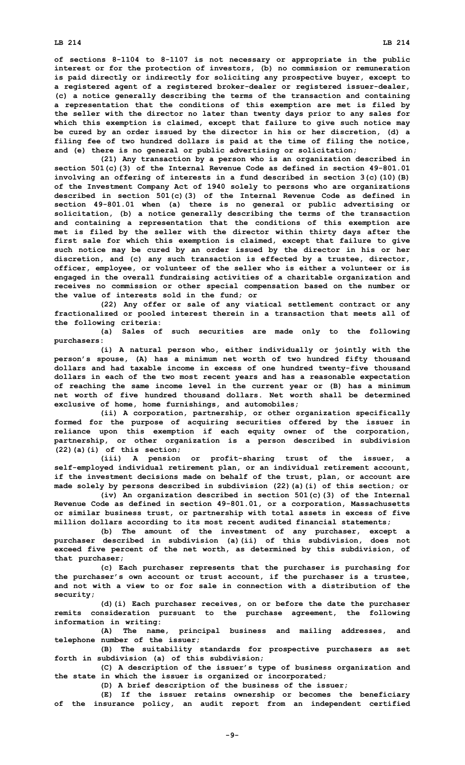**of sections 8-1104 to 8-1107 is not necessary or appropriate in the public interest or for the protection of investors, (b) no commission or remuneration is paid directly or indirectly for soliciting any prospective buyer, except to <sup>a</sup> registered agent of <sup>a</sup> registered broker-dealer or registered issuer-dealer, (c) <sup>a</sup> notice generally describing the terms of the transaction and containing <sup>a</sup> representation that the conditions of this exemption are met is filed by the seller with the director no later than twenty days prior to any sales for which this exemption is claimed, except that failure to give such notice may be cured by an order issued by the director in his or her discretion, (d) <sup>a</sup> filing fee of two hundred dollars is paid at the time of filing the notice,**

**and (e) there is no general or public advertising or solicitation; (21) Any transaction by <sup>a</sup> person who is an organization described in section 501(c)(3) of the Internal Revenue Code as defined in section 49-801.01 involving an offering of interests in <sup>a</sup> fund described in section 3(c)(10)(B) of the Investment Company Act of 1940 solely to persons who are organizations described in section 501(c)(3) of the Internal Revenue Code as defined in section 49-801.01 when (a) there is no general or public advertising or solicitation, (b) <sup>a</sup> notice generally describing the terms of the transaction and containing <sup>a</sup> representation that the conditions of this exemption are met is filed by the seller with the director within thirty days after the first sale for which this exemption is claimed, except that failure to give such notice may be cured by an order issued by the director in his or her discretion, and (c) any such transaction is effected by <sup>a</sup> trustee, director, officer, employee, or volunteer of the seller who is either <sup>a</sup> volunteer or is engaged in the overall fundraising activities of <sup>a</sup> charitable organization and receives no commission or other special compensation based on the number or the value of interests sold in the fund; or**

**(22) Any offer or sale of any viatical settlement contract or any fractionalized or pooled interest therein in <sup>a</sup> transaction that meets all of the following criteria:**

**(a) Sales of such securities are made only to the following purchasers:**

**(i) <sup>A</sup> natural person who, either individually or jointly with the person's spouse, (A) has <sup>a</sup> minimum net worth of two hundred fifty thousand dollars and had taxable income in excess of one hundred twenty-five thousand dollars in each of the two most recent years and has <sup>a</sup> reasonable expectation of reaching the same income level in the current year or (B) has <sup>a</sup> minimum net worth of five hundred thousand dollars. Net worth shall be determined exclusive of home, home furnishings, and automobiles;**

**(ii) <sup>A</sup> corporation, partnership, or other organization specifically formed for the purpose of acquiring securities offered by the issuer in reliance upon this exemption if each equity owner of the corporation, partnership, or other organization is <sup>a</sup> person described in subdivision (22)(a)(i) of this section;**

**(iii) <sup>A</sup> pension or profit-sharing trust of the issuer, <sup>a</sup> self-employed individual retirement plan, or an individual retirement account, if the investment decisions made on behalf of the trust, plan, or account are made solely by persons described in subdivision (22)(a)(i) of this section; or**

**(iv) An organization described in section 501(c)(3) of the Internal Revenue Code as defined in section 49-801.01, or <sup>a</sup> corporation, Massachusetts or similar business trust, or partnership with total assets in excess of five million dollars according to its most recent audited financial statements;**

**(b) The amount of the investment of any purchaser, except <sup>a</sup> purchaser described in subdivision (a)(ii) of this subdivision, does not exceed five percent of the net worth, as determined by this subdivision, of that purchaser;**

**(c) Each purchaser represents that the purchaser is purchasing for the purchaser's own account or trust account, if the purchaser is <sup>a</sup> trustee, and not with a view to or for sale in connection with a distribution of the security;**

**(d)(i) Each purchaser receives, on or before the date the purchaser remits consideration pursuant to the purchase agreement, the following information in writing:**

**(A) The name, principal business and mailing addresses, and telephone number of the issuer;**

**(B) The suitability standards for prospective purchasers as set forth in subdivision (a) of this subdivision;**

**(C) <sup>A</sup> description of the issuer's type of business organization and the state in which the issuer is organized or incorporated;**

**(D) <sup>A</sup> brief description of the business of the issuer;**

**(E) If the issuer retains ownership or becomes the beneficiary of the insurance policy, an audit report from an independent certified**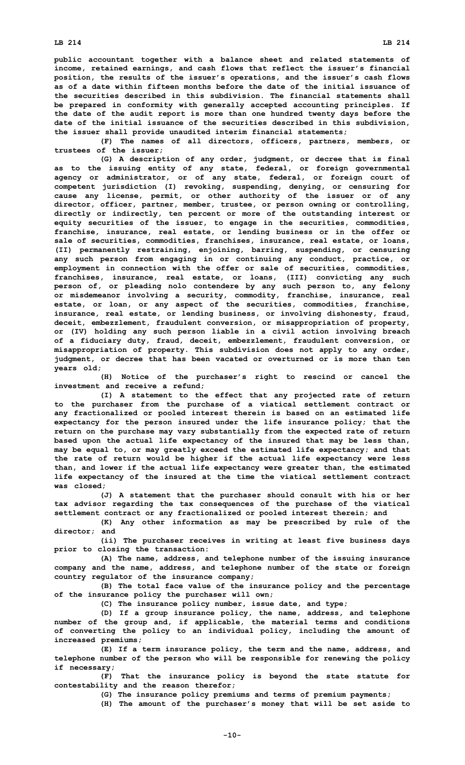**public accountant together with <sup>a</sup> balance sheet and related statements of income, retained earnings, and cash flows that reflect the issuer's financial position, the results of the issuer's operations, and the issuer's cash flows as of a date within fifteen months before the date of the initial issuance of the securities described in this subdivision. The financial statements shall be prepared in conformity with generally accepted accounting principles. If the date of the audit report is more than one hundred twenty days before the date of the initial issuance of the securities described in this subdivision, the issuer shall provide unaudited interim financial statements;**

**(F) The names of all directors, officers, partners, members, or trustees of the issuer;**

**(G) <sup>A</sup> description of any order, judgment, or decree that is final as to the issuing entity of any state, federal, or foreign governmental agency or administrator, or of any state, federal, or foreign court of competent jurisdiction (I) revoking, suspending, denying, or censuring for cause any license, permit, or other authority of the issuer or of any director, officer, partner, member, trustee, or person owning or controlling, directly or indirectly, ten percent or more of the outstanding interest or equity securities of the issuer, to engage in the securities, commodities, franchise, insurance, real estate, or lending business or in the offer or sale of securities, commodities, franchises, insurance, real estate, or loans, (II) permanently restraining, enjoining, barring, suspending, or censuring any such person from engaging in or continuing any conduct, practice, or employment in connection with the offer or sale of securities, commodities, franchises, insurance, real estate, or loans, (III) convicting any such person of, or pleading nolo contendere by any such person to, any felony or misdemeanor involving <sup>a</sup> security, commodity, franchise, insurance, real estate, or loan, or any aspect of the securities, commodities, franchise, insurance, real estate, or lending business, or involving dishonesty, fraud, deceit, embezzlement, fraudulent conversion, or misappropriation of property, or (IV) holding any such person liable in <sup>a</sup> civil action involving breach of <sup>a</sup> fiduciary duty, fraud, deceit, embezzlement, fraudulent conversion, or misappropriation of property. This subdivision does not apply to any order, judgment, or decree that has been vacated or overturned or is more than ten years old;**

**(H) Notice of the purchaser's right to rescind or cancel the investment and receive <sup>a</sup> refund;**

**(I) <sup>A</sup> statement to the effect that any projected rate of return to the purchaser from the purchase of <sup>a</sup> viatical settlement contract or any fractionalized or pooled interest therein is based on an estimated life expectancy for the person insured under the life insurance policy; that the return on the purchase may vary substantially from the expected rate of return based upon the actual life expectancy of the insured that may be less than, may be equal to, or may greatly exceed the estimated life expectancy; and that the rate of return would be higher if the actual life expectancy were less than, and lower if the actual life expectancy were greater than, the estimated life expectancy of the insured at the time the viatical settlement contract was closed;**

**(J) <sup>A</sup> statement that the purchaser should consult with his or her tax advisor regarding the tax consequences of the purchase of the viatical settlement contract or any fractionalized or pooled interest therein; and**

**(K) Any other information as may be prescribed by rule of the director; and**

**(ii) The purchaser receives in writing at least five business days prior to closing the transaction:**

**(A) The name, address, and telephone number of the issuing insurance company and the name, address, and telephone number of the state or foreign country regulator of the insurance company;**

**(B) The total face value of the insurance policy and the percentage of the insurance policy the purchaser will own;**

**(C) The insurance policy number, issue date, and type;**

**(D) If <sup>a</sup> group insurance policy, the name, address, and telephone number of the group and, if applicable, the material terms and conditions of converting the policy to an individual policy, including the amount of increased premiums;**

**(E) If <sup>a</sup> term insurance policy, the term and the name, address, and telephone number of the person who will be responsible for renewing the policy if necessary;**

**(F) That the insurance policy is beyond the state statute for contestability and the reason therefor;**

**(G) The insurance policy premiums and terms of premium payments;**

**(H) The amount of the purchaser's money that will be set aside to**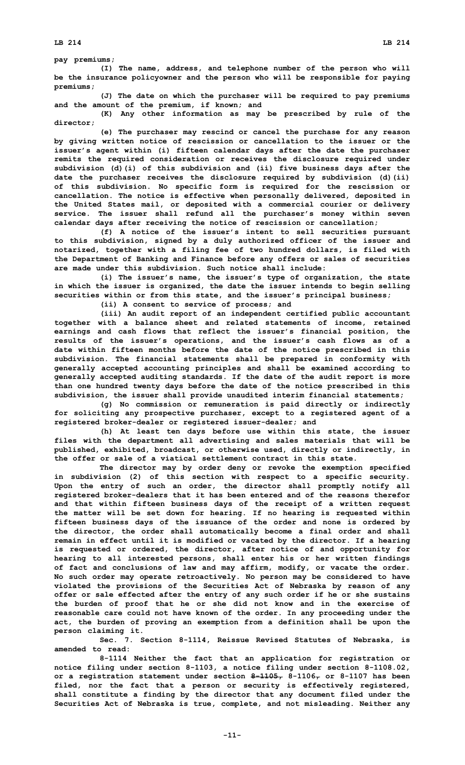**pay premiums;**

**(I) The name, address, and telephone number of the person who will be the insurance policyowner and the person who will be responsible for paying premiums;**

**(J) The date on which the purchaser will be required to pay premiums and the amount of the premium, if known; and**

**(K) Any other information as may be prescribed by rule of the director;**

**(e) The purchaser may rescind or cancel the purchase for any reason by giving written notice of rescission or cancellation to the issuer or the issuer's agent within (i) fifteen calendar days after the date the purchaser remits the required consideration or receives the disclosure required under subdivision (d)(i) of this subdivision and (ii) five business days after the date the purchaser receives the disclosure required by subdivision (d)(ii) of this subdivision. No specific form is required for the rescission or cancellation. The notice is effective when personally delivered, deposited in the United States mail, or deposited with <sup>a</sup> commercial courier or delivery service. The issuer shall refund all the purchaser's money within seven calendar days after receiving the notice of rescission or cancellation;**

**(f) <sup>A</sup> notice of the issuer's intent to sell securities pursuant to this subdivision, signed by <sup>a</sup> duly authorized officer of the issuer and notarized, together with <sup>a</sup> filing fee of two hundred dollars, is filed with the Department of Banking and Finance before any offers or sales of securities are made under this subdivision. Such notice shall include:**

**(i) The issuer's name, the issuer's type of organization, the state in which the issuer is organized, the date the issuer intends to begin selling securities within or from this state, and the issuer's principal business;**

**(ii) <sup>A</sup> consent to service of process; and**

**(iii) An audit report of an independent certified public accountant together with <sup>a</sup> balance sheet and related statements of income, retained earnings and cash flows that reflect the issuer's financial position, the results of the issuer's operations, and the issuer's cash flows as of <sup>a</sup> date within fifteen months before the date of the notice prescribed in this subdivision. The financial statements shall be prepared in conformity with generally accepted accounting principles and shall be examined according to generally accepted auditing standards. If the date of the audit report is more than one hundred twenty days before the date of the notice prescribed in this subdivision, the issuer shall provide unaudited interim financial statements;**

**(g) No commission or remuneration is paid directly or indirectly for soliciting any prospective purchaser, except to <sup>a</sup> registered agent of <sup>a</sup> registered broker-dealer or registered issuer-dealer; and**

**(h) At least ten days before use within this state, the issuer files with the department all advertising and sales materials that will be published, exhibited, broadcast, or otherwise used, directly or indirectly, in the offer or sale of a viatical settlement contract in this state.**

**The director may by order deny or revoke the exemption specified in subdivision (2) of this section with respect to <sup>a</sup> specific security. Upon the entry of such an order, the director shall promptly notify all registered broker-dealers that it has been entered and of the reasons therefor and that within fifteen business days of the receipt of <sup>a</sup> written request the matter will be set down for hearing. If no hearing is requested within fifteen business days of the issuance of the order and none is ordered by the director, the order shall automatically become <sup>a</sup> final order and shall remain in effect until it is modified or vacated by the director. If <sup>a</sup> hearing is requested or ordered, the director, after notice of and opportunity for hearing to all interested persons, shall enter his or her written findings of fact and conclusions of law and may affirm, modify, or vacate the order. No such order may operate retroactively. No person may be considered to have violated the provisions of the Securities Act of Nebraska by reason of any offer or sale effected after the entry of any such order if he or she sustains the burden of proof that he or she did not know and in the exercise of reasonable care could not have known of the order. In any proceeding under the act, the burden of proving an exemption from <sup>a</sup> definition shall be upon the person claiming it.**

**Sec. 7. Section 8-1114, Reissue Revised Statutes of Nebraska, is amended to read:**

**8-1114 Neither the fact that an application for registration or notice filing under section 8-1103, <sup>a</sup> notice filing under section 8-1108.02, or <sup>a</sup> registration statement under section 8-1105, 8-1106, or 8-1107 has been filed, nor the fact that <sup>a</sup> person or security is effectively registered, shall constitute <sup>a</sup> finding by the director that any document filed under the Securities Act of Nebraska is true, complete, and not misleading. Neither any**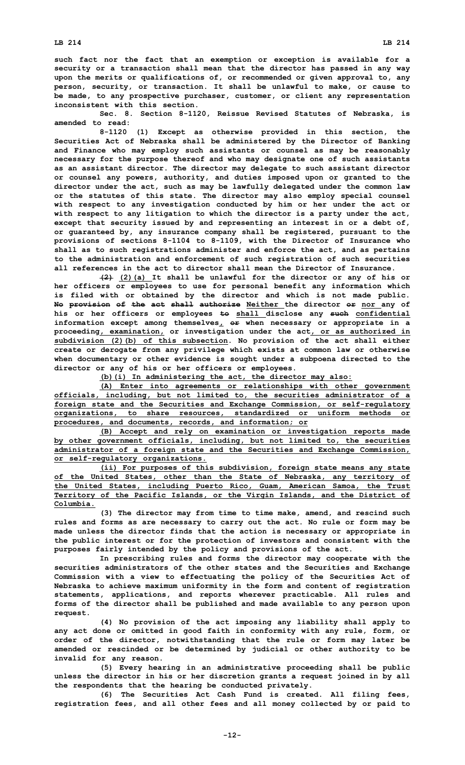**such fact nor the fact that an exemption or exception is available for <sup>a</sup> security or <sup>a</sup> transaction shall mean that the director has passed in any way upon the merits or qualifications of, or recommended or given approval to, any person, security, or transaction. It shall be unlawful to make, or cause to be made, to any prospective purchaser, customer, or client any representation inconsistent with this section.**

**Sec. 8. Section 8-1120, Reissue Revised Statutes of Nebraska, is amended to read:**

**8-1120 (1) Except as otherwise provided in this section, the Securities Act of Nebraska shall be administered by the Director of Banking and Finance who may employ such assistants or counsel as may be reasonably necessary for the purpose thereof and who may designate one of such assistants as an assistant director. The director may delegate to such assistant director or counsel any powers, authority, and duties imposed upon or granted to the director under the act, such as may be lawfully delegated under the common law or the statutes of this state. The director may also employ special counsel with respect to any investigation conducted by him or her under the act or with respect to any litigation to which the director is <sup>a</sup> party under the act, except that security issued by and representing an interest in or <sup>a</sup> debt of, or guaranteed by, any insurance company shall be registered, pursuant to the provisions of sections 8-1104 to 8-1109, with the Director of Insurance who shall as to such registrations administer and enforce the act, and as pertains to the administration and enforcement of such registration of such securities all references in the act to director shall mean the Director of Insurance.**

**(2) (2)(a) It shall be unlawful for the director or any of his or her officers or employees to use for personal benefit any information which is filed with or obtained by the director and which is not made public. No provision of the act shall authorize Neither the director or nor any of his or her officers or employees to shall disclose any such confidential information except among themselves, or when necessary or appropriate in <sup>a</sup> proceeding, examination, or investigation under the act, or as authorized in subdivision (2)(b) of this subsection. No provision of the act shall either create or derogate from any privilege which exists at common law or otherwise when documentary or other evidence is sought under <sup>a</sup> subpoena directed to the director or any of his or her officers or employees.**

**(b)(i) In administering the act, the director may also:**

**(A) Enter into agreements or relationships with other government officials, including, but not limited to, the securities administrator of <sup>a</sup> foreign state and the Securities and Exchange Commission, or self-regulatory organizations, to share resources, standardized or uniform methods or procedures, and documents, records, and information; or**

**(B) Accept and rely on examination or investigation reports made by other government officials, including, but not limited to, the securities administrator of <sup>a</sup> foreign state and the Securities and Exchange Commission, or self-regulatory organizations.**

**(ii) For purposes of this subdivision, foreign state means any state of the United States, other than the State of Nebraska, any territory of the United States, including Puerto Rico, Guam, American Samoa, the Trust Territory of the Pacific Islands, or the Virgin Islands, and the District of Columbia.**

**(3) The director may from time to time make, amend, and rescind such rules and forms as are necessary to carry out the act. No rule or form may be made unless the director finds that the action is necessary or appropriate in the public interest or for the protection of investors and consistent with the purposes fairly intended by the policy and provisions of the act.**

**In prescribing rules and forms the director may cooperate with the securities administrators of the other states and the Securities and Exchange Commission with <sup>a</sup> view to effectuating the policy of the Securities Act of Nebraska to achieve maximum uniformity in the form and content of registration statements, applications, and reports wherever practicable. All rules and forms of the director shall be published and made available to any person upon request.**

**(4) No provision of the act imposing any liability shall apply to any act done or omitted in good faith in conformity with any rule, form, or order of the director, notwithstanding that the rule or form may later be amended or rescinded or be determined by judicial or other authority to be invalid for any reason.**

**(5) Every hearing in an administrative proceeding shall be public unless the director in his or her discretion grants <sup>a</sup> request joined in by all the respondents that the hearing be conducted privately.**

**(6) The Securities Act Cash Fund is created. All filing fees, registration fees, and all other fees and all money collected by or paid to**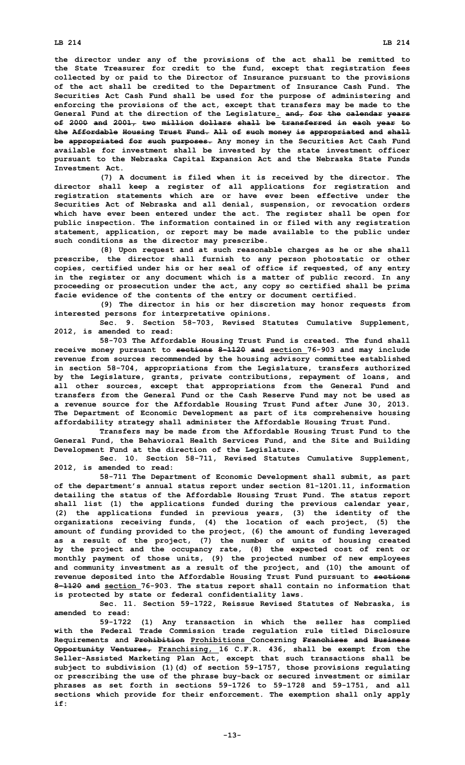**the director under any of the provisions of the act shall be remitted to the State Treasurer for credit to the fund, except that registration fees collected by or paid to the Director of Insurance pursuant to the provisions of the act shall be credited to the Department of Insurance Cash Fund. The Securities Act Cash Fund shall be used for the purpose of administering and enforcing the provisions of the act, except that transfers may be made to the General Fund at the direction of the Legislature. and, for the calendar years of 2000 and 2001, two million dollars shall be transferred in each year to the Affordable Housing Trust Fund. All of such money is appropriated and shall be appropriated for such purposes. Any money in the Securities Act Cash Fund available for investment shall be invested by the state investment officer pursuant to the Nebraska Capital Expansion Act and the Nebraska State Funds Investment Act.**

**(7) <sup>A</sup> document is filed when it is received by the director. The director shall keep <sup>a</sup> register of all applications for registration and registration statements which are or have ever been effective under the Securities Act of Nebraska and all denial, suspension, or revocation orders which have ever been entered under the act. The register shall be open for public inspection. The information contained in or filed with any registration statement, application, or report may be made available to the public under such conditions as the director may prescribe.**

**(8) Upon request and at such reasonable charges as he or she shall prescribe, the director shall furnish to any person photostatic or other copies, certified under his or her seal of office if requested, of any entry in the register or any document which is <sup>a</sup> matter of public record. In any proceeding or prosecution under the act, any copy so certified shall be prima facie evidence of the contents of the entry or document certified.**

**(9) The director in his or her discretion may honor requests from interested persons for interpretative opinions.**

**Sec. 9. Section 58-703, Revised Statutes Cumulative Supplement, 2012, is amended to read:**

**58-703 The Affordable Housing Trust Fund is created. The fund shall receive money pursuant to sections 8-1120 and section 76-903 and may include revenue from sources recommended by the housing advisory committee established in section 58-704, appropriations from the Legislature, transfers authorized by the Legislature, grants, private contributions, repayment of loans, and all other sources, except that appropriations from the General Fund and transfers from the General Fund or the Cash Reserve Fund may not be used as <sup>a</sup> revenue source for the Affordable Housing Trust Fund after June 30, 2013. The Department of Economic Development as part of its comprehensive housing affordability strategy shall administer the Affordable Housing Trust Fund.**

**Transfers may be made from the Affordable Housing Trust Fund to the General Fund, the Behavioral Health Services Fund, and the Site and Building Development Fund at the direction of the Legislature.**

**Sec. 10. Section 58-711, Revised Statutes Cumulative Supplement, 2012, is amended to read:**

**58-711 The Department of Economic Development shall submit, as part of the department's annual status report under section 81-1201.11, information detailing the status of the Affordable Housing Trust Fund. The status report shall list (1) the applications funded during the previous calendar year, (2) the applications funded in previous years, (3) the identity of the organizations receiving funds, (4) the location of each project, (5) the amount of funding provided to the project, (6) the amount of funding leveraged as <sup>a</sup> result of the project, (7) the number of units of housing created by the project and the occupancy rate, (8) the expected cost of rent or monthly payment of those units, (9) the projected number of new employees and community investment as <sup>a</sup> result of the project, and (10) the amount of revenue deposited into the Affordable Housing Trust Fund pursuant to sections 8-1120 and section 76-903. The status report shall contain no information that is protected by state or federal confidentiality laws.**

**Sec. 11. Section 59-1722, Reissue Revised Statutes of Nebraska, is amended to read:**

**59-1722 (1) Any transaction in which the seller has complied with the Federal Trade Commission trade regulation rule titled Disclosure Requirements and Prohibition Prohibitions Concerning Franchises and Business Opportunity Ventures, Franchising, 16 C.F.R. 436, shall be exempt from the Seller-Assisted Marketing Plan Act, except that such transactions shall be subject to subdivision (1)(d) of section 59-1757, those provisions regulating or prescribing the use of the phrase buy-back or secured investment or similar phrases as set forth in sections 59-1726 to 59-1728 and 59-1751, and all sections which provide for their enforcement. The exemption shall only apply if:**